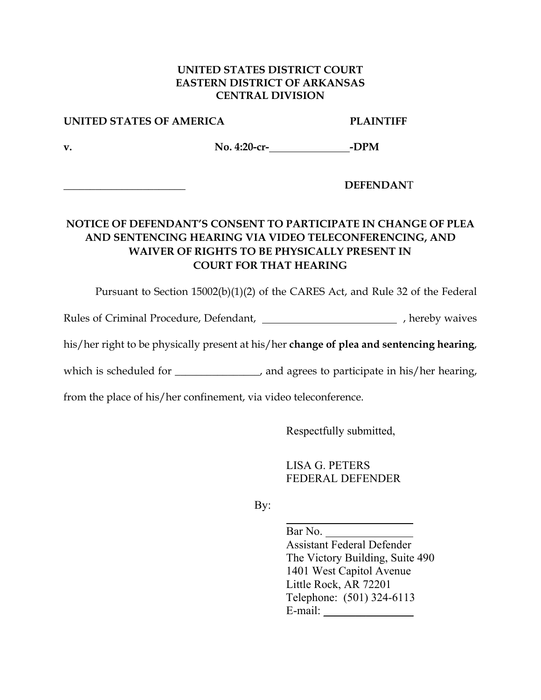### **UNITED STATES DISTRICT COURT EASTERN DISTRICT OF ARKANSAS CENTRAL DIVISION**

### **UNITED STATES OF AMERICA PLAINTIFF**

**v. No. 4:20-cr- -DPM** 

**\_\_\_\_\_\_\_\_\_\_\_\_\_\_\_\_\_\_\_\_\_\_\_ DEFENDAN**T

# **NOTICE OF DEFENDANT'S CONSENT TO PARTICIPATE IN CHANGE OF PLEA AND SENTENCING HEARING VIA VIDEO TELECONFERENCING, AND WAIVER OF RIGHTS TO BE PHYSICALLY PRESENT IN COURT FOR THAT HEARING**

Pursuant to Section 15002(b)(1)(2) of the CARES Act, and Rule 32 of the Federal

Rules of Criminal Procedure, Defendant,  $\qquad \qquad$ , hereby waives

his/her right to be physically present at his/her **change of plea and sentencing hearing**,

which is scheduled for \_\_\_\_\_\_\_\_\_\_\_\_, and agrees to participate in his/her hearing,

from the place of his/her confinement, via video teleconference.

Respectfully submitted,

 LISA G. PETERS FEDERAL DEFENDER

By:

Bar No.

 Assistant Federal Defender The Victory Building, Suite 490 1401 West Capitol Avenue Little Rock, AR 72201 Telephone: (501) 324-6113 E-mail: \_\_\_\_\_\_\_\_\_\_\_\_\_\_\_\_\_